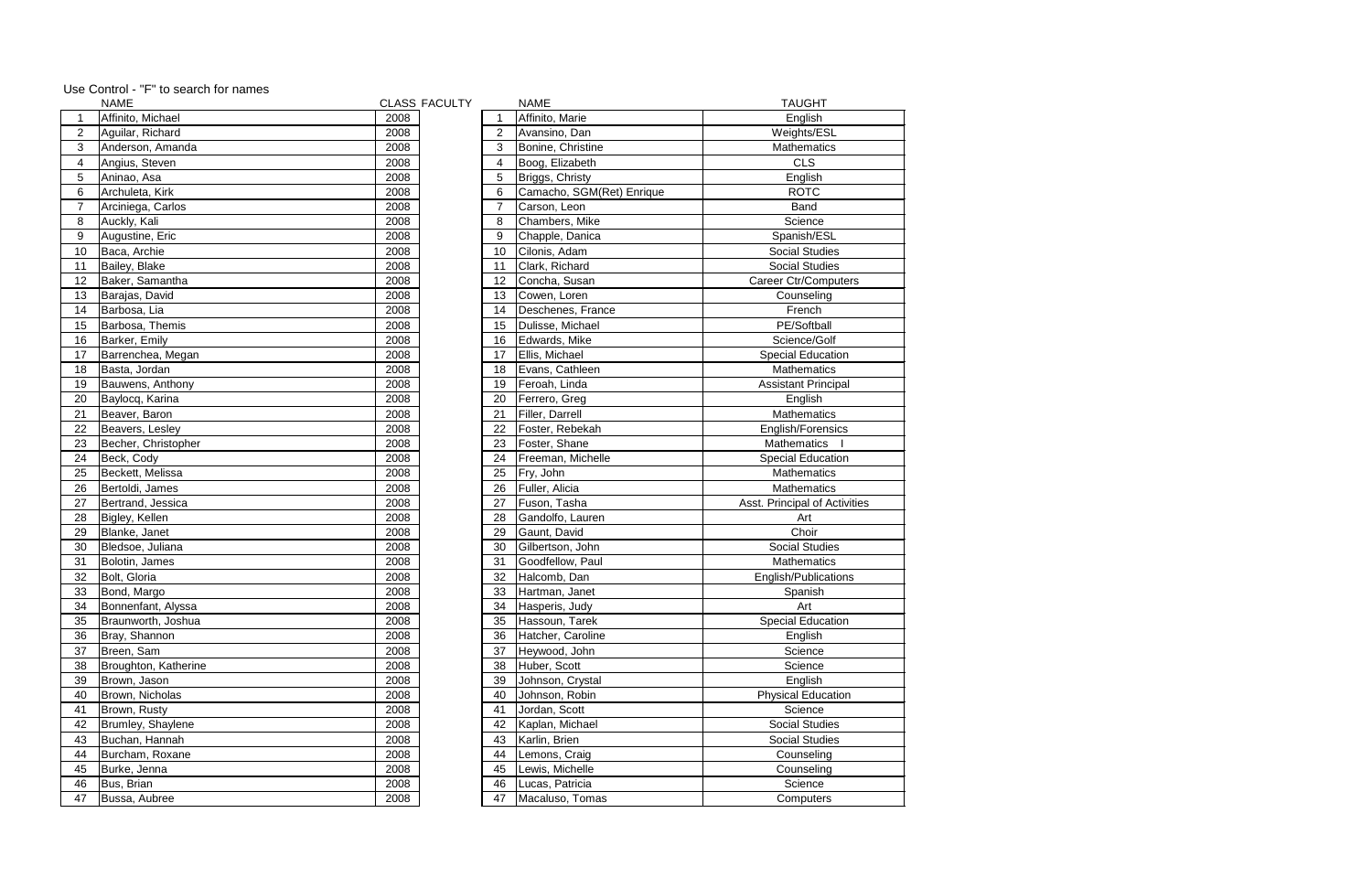|                | <b>NAME</b>          |      | <b>CLASS FACULTY</b> |                | <b>NAME</b>               | <b>TAUGHT</b>                 |
|----------------|----------------------|------|----------------------|----------------|---------------------------|-------------------------------|
|                | Affinito, Michael    | 2008 |                      |                | Affinito, Marie           | English                       |
| 2              | Aguilar, Richard     | 2008 |                      | $\overline{2}$ | Avansino, Dan             | Weights/ESL                   |
| 3              | Anderson, Amanda     | 2008 |                      | 3              | Bonine, Christine         | <b>Mathematics</b>            |
| 4              | Angius, Steven       | 2008 |                      | 4              | Boog, Elizabeth           | <b>CLS</b>                    |
| 5              | Aninao, Asa          | 2008 |                      | 5              | Briggs, Christy           | English                       |
| 6              | Archuleta, Kirk      | 2008 |                      | 6              | Camacho, SGM(Ret) Enrique | <b>ROTC</b>                   |
| $\overline{7}$ | Arciniega, Carlos    | 2008 |                      | $\overline{7}$ | Carson, Leon              | Band                          |
| 8              | Auckly, Kali         | 2008 |                      | 8              | Chambers, Mike            | Science                       |
| 9              | Augustine, Eric      | 2008 |                      | 9              | Chapple, Danica           | Spanish/ESL                   |
| 10             | Baca, Archie         | 2008 |                      | 10             | Cilonis, Adam             | <b>Social Studies</b>         |
| 11             | Bailey, Blake        | 2008 |                      | 11             | Clark, Richard            | <b>Social Studies</b>         |
| 12             | Baker, Samantha      | 2008 |                      | 12             | Concha, Susan             | <b>Career Ctr/Computers</b>   |
| 13             | Barajas, David       | 2008 |                      | 13             | Cowen, Loren              | Counseling                    |
| 14             | Barbosa, Lia         | 2008 |                      | 14             | Deschenes, France         | French                        |
| 15             | Barbosa, Themis      | 2008 |                      | 15             | Dulisse, Michael          | PE/Softball                   |
| 16             | Barker, Emily        | 2008 |                      | 16             | Edwards, Mike             | Science/Golf                  |
| 17             | Barrenchea, Megan    | 2008 |                      | 17             | Ellis, Michael            | <b>Special Education</b>      |
| 18             | Basta, Jordan        | 2008 |                      | 18             | Evans, Cathleen           | Mathematics                   |
| 19             | Bauwens, Anthony     | 2008 |                      | 19             | Feroah, Linda             | <b>Assistant Principal</b>    |
| 20             | Baylocq, Karina      | 2008 |                      | 20             | Ferrero, Greg             | English                       |
| 21             | Beaver, Baron        | 2008 |                      | 21             | Filler, Darrell           | Mathematics                   |
| 22             | Beavers, Lesley      | 2008 |                      | 22             | Foster, Rebekah           | English/Forensics             |
| 23             | Becher, Christopher  | 2008 |                      | 23             | Foster, Shane             | <b>Mathematics</b>            |
| 24             | Beck, Cody           | 2008 |                      | 24             | Freeman, Michelle         | <b>Special Education</b>      |
| 25             | Beckett, Melissa     | 2008 |                      | 25             | Fry, John                 | Mathematics                   |
| 26             | Bertoldi, James      | 2008 |                      | 26             | Fuller, Alicia            | <b>Mathematics</b>            |
| 27             | Bertrand, Jessica    | 2008 |                      | 27             | Fuson, Tasha              | Asst. Principal of Activities |
| 28             | Bigley, Kellen       | 2008 |                      | 28             | Gandolfo, Lauren          | Art                           |
| 29             | Blanke, Janet        | 2008 |                      | 29             | Gaunt, David              | Choir                         |
| 30             | Bledsoe, Juliana     | 2008 |                      | 30             | Gilbertson, John          | <b>Social Studies</b>         |
| 31             | Bolotin, James       | 2008 |                      | 31             | Goodfellow, Paul          | Mathematics                   |
| 32             | Bolt, Gloria         | 2008 |                      | 32             | Halcomb, Dan              | English/Publications          |
| 33             | Bond, Margo          | 2008 |                      | 33             | Hartman, Janet            | Spanish                       |
| 34             | Bonnenfant, Alyssa   | 2008 |                      | 34             | Hasperis, Judy            | Art                           |
| 35             | Braunworth, Joshua   | 2008 |                      | 35             | Hassoun, Tarek            | <b>Special Education</b>      |
| 36             | Bray, Shannon        | 2008 |                      | 36             | Hatcher, Caroline         | English                       |
| 37             | Breen, Sam           | 2008 |                      | 37             | Heywood, John             | Science                       |
| 38             | Broughton, Katherine | 2008 |                      | 38             | Huber, Scott              | Science                       |
| 39             | Brown, Jason         | 2008 |                      | 39             | Johnson, Crystal          | English                       |
| 40             | Brown, Nicholas      | 2008 |                      | 40             | Johnson, Robin            | <b>Physical Education</b>     |
| 41             | Brown, Rusty         | 2008 |                      | 41             | Jordan, Scott             | Science                       |
| 42             | Brumley, Shaylene    | 2008 |                      | 42             | Kaplan, Michael           | <b>Social Studies</b>         |
| 43             | Buchan, Hannah       | 2008 |                      | 43             | Karlin, Brien             | <b>Social Studies</b>         |
| 44             | Burcham, Roxane      | 2008 |                      | 44             | Lemons, Craig             | Counseling                    |
| 45             | Burke, Jenna         | 2008 |                      | 45             | Lewis, Michelle           | Counseling                    |
| 46             | Bus, Brian           | 2008 |                      | 46             | Lucas, Patricia           | Science                       |
| 47             | Bussa, Aubree        | 2008 |                      | 47             | Macaluso, Tomas           | Computers                     |
|                |                      |      |                      |                |                           |                               |

## Use Control - "F" to search for names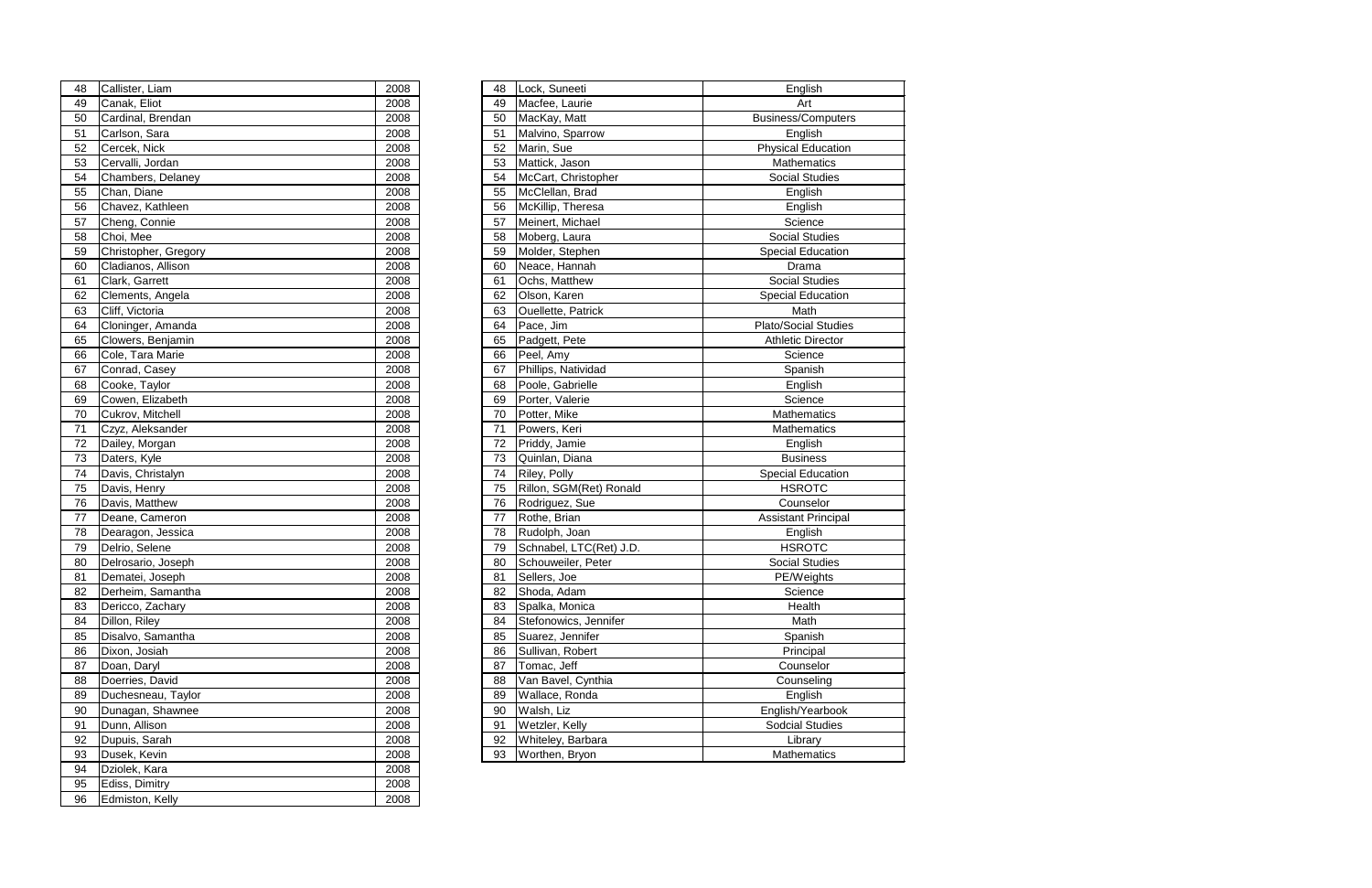| 48 | Callister, Liam        | 2008 | 48 | Lock, Suneeti             | English                     |
|----|------------------------|------|----|---------------------------|-----------------------------|
| 49 | Canak, Eliot           | 2008 | 49 | Macfee, Laurie            | Art                         |
| 50 | Cardinal, Brendan      | 2008 | 50 | MacKay, Matt              | <b>Business/Computers</b>   |
| 51 | Carlson, Sara          | 2008 | 51 | Malvino, Sparrow          | English                     |
| 52 | Cercek, Nick           | 2008 | 52 | Marin, Sue                | <b>Physical Education</b>   |
| 53 | Cervalli, Jordan       | 2008 | 53 | Mattick, Jason            | <b>Mathematics</b>          |
| 54 | Chambers, Delaney      | 2008 | 54 | McCart, Christopher       | <b>Social Studies</b>       |
| 55 | Chan, Diane            | 2008 | 55 | McClellan, Brad           | English                     |
| 56 | Chavez, Kathleen       | 2008 | 56 | McKillip, Theresa         | English                     |
| 57 | Cheng, Connie          | 2008 | 57 | Meinert, Michael          | Science                     |
| 58 | Choi, Mee              | 2008 | 58 | Moberg, Laura             | <b>Social Studies</b>       |
| 59 | Christopher, Gregory   | 2008 | 59 | Molder, Stephen           | <b>Special Education</b>    |
| 60 | Cladianos, Allison     | 2008 | 60 | Neace, Hannah             | Drama                       |
| 61 | Clark, Garrett         | 2008 | 61 | Ochs, Matthew             | <b>Social Studies</b>       |
| 62 | Clements, Angela       | 2008 | 62 | Olson, Karen              | Special Education           |
| 63 | Cliff, Victoria        | 2008 | 63 | <b>Ouellette, Patrick</b> | Math                        |
| 64 | Cloninger, Amanda      | 2008 | 64 | Pace, Jim                 | <b>Plato/Social Studies</b> |
| 65 | Clowers, Benjamin      | 2008 | 65 | Padgett, Pete             | <b>Athletic Director</b>    |
| 66 | Cole, Tara Marie       | 2008 | 66 | Peel, Amy                 | Science                     |
| 67 | Conrad, Casey          | 2008 | 67 | Phillips, Natividad       | Spanish                     |
| 68 | Cooke, Taylor          | 2008 | 68 | Poole, Gabrielle          | English                     |
| 69 | Cowen, Elizabeth       | 2008 | 69 | Porter, Valerie           | Science                     |
| 70 | Cukrov, Mitchell       | 2008 | 70 | Potter, Mike              | <b>Mathematics</b>          |
| 71 | Czyz, Aleksander       | 2008 | 71 | Powers, Keri              | Mathematics                 |
| 72 | Dailey, Morgan         | 2008 | 72 | Priddy, Jamie             | English                     |
| 73 | Daters, Kyle           | 2008 | 73 | Quinlan, Diana            | <b>Business</b>             |
| 74 | Davis, Christalyn      | 2008 | 74 | Riley, Polly              | Special Education           |
| 75 | Davis, Henry           | 2008 | 75 | Rillon, SGM(Ret) Ronald   | <b>HSROTC</b>               |
| 76 | Davis, Matthew         | 2008 | 76 | Rodriguez, Sue            | Counselor                   |
| 77 | Deane, Cameron         | 2008 | 77 | Rothe, Brian              | <b>Assistant Principal</b>  |
| 78 | Dearagon, Jessica      | 2008 | 78 | Rudolph, Joan             | English                     |
| 79 | Delrio, Selene         | 2008 | 79 | Schnabel, LTC(Ret) J.D.   | <b>HSROTC</b>               |
| 80 | Delrosario, Joseph     | 2008 | 80 | Schouweiler, Peter        | <b>Social Studies</b>       |
| 81 | Dematei, Joseph        | 2008 | 81 | Sellers, Joe              | PE/Weights                  |
|    | 82   Derheim, Samantha | 2008 | 82 | Shoda, Adam               | Science                     |
| 83 | Dericco, Zachary       | 2008 | 83 | Spalka, Monica            | Health                      |
| 84 | Dillon, Riley          | 2008 | 84 | Stefonowics, Jennifer     | Math                        |
| 85 | Disalvo, Samantha      | 2008 | 85 | Suarez, Jennifer          | Spanish                     |
| 86 | Dixon, Josiah          | 2008 | 86 | Sullivan, Robert          | Principal                   |
| 87 | Doan, Daryl            | 2008 | 87 | Tomac, Jeff               | Counselor                   |
| 88 | Doerries, David        | 2008 | 88 | Van Bavel, Cynthia        | Counseling                  |
| 89 | Duchesneau, Taylor     | 2008 | 89 | Wallace, Ronda            | English                     |
| 90 | Dunagan, Shawnee       | 2008 | 90 | Walsh, Liz                | English/Yearbook            |
| 91 | Dunn, Allison          | 2008 | 91 | Wetzler, Kelly            | <b>Sodcial Studies</b>      |
| 92 | Dupuis, Sarah          | 2008 | 92 | Whiteley, Barbara         | Library                     |
| 93 | Dusek, Kevin           | 2008 | 93 | Worthen, Bryon            | Mathematics                 |
|    |                        |      |    |                           |                             |

| 48 | Callister, Liam      | 2008 | 48 | Lock, Suneeti           | English                  |
|----|----------------------|------|----|-------------------------|--------------------------|
| 49 | Canak, Eliot         | 2008 | 49 | Macfee, Laurie          | Art                      |
| 50 | Cardinal, Brendan    | 2008 | 50 | MacKay, Matt            | <b>Business/Comput</b>   |
| 51 | Carlson, Sara        | 2008 | 51 | Malvino, Sparrow        | English                  |
| 52 | Cercek, Nick         | 2008 | 52 | Marin, Sue              | <b>Physical Educati</b>  |
| 53 | Cervalli, Jordan     | 2008 | 53 | Mattick, Jason          | Mathematics              |
| 54 | Chambers, Delaney    | 2008 | 54 | McCart, Christopher     | <b>Social Studies</b>    |
| 55 | Chan, Diane          | 2008 | 55 | McClellan, Brad         | English                  |
| 56 | Chavez, Kathleen     | 2008 | 56 | McKillip, Theresa       | English                  |
| 57 | Cheng, Connie        | 2008 | 57 | Meinert, Michael        | Science                  |
| 58 | Choi, Mee            | 2008 | 58 | Moberg, Laura           | <b>Social Studies</b>    |
| 59 | Christopher, Gregory | 2008 | 59 | Molder, Stephen         | <b>Special Education</b> |
| 60 | Cladianos, Allison   | 2008 | 60 | Neace, Hannah           | Drama                    |
| 61 | Clark, Garrett       | 2008 | 61 | Ochs, Matthew           | <b>Social Studies</b>    |
| 62 | Clements, Angela     | 2008 | 62 | Olson, Karen            | <b>Special Educatio</b>  |
| 63 | Cliff, Victoria      | 2008 | 63 | Ouellette, Patrick      | Math                     |
| 64 | Cloninger, Amanda    | 2008 | 64 | Pace, Jim               | Plato/Social Stud        |
| 65 | Clowers, Benjamin    | 2008 | 65 | Padgett, Pete           | <b>Athletic Directo</b>  |
| 66 | Cole, Tara Marie     | 2008 | 66 | Peel, Amy               | Science                  |
| 67 | Conrad, Casey        | 2008 | 67 | Phillips, Natividad     | Spanish                  |
| 68 | Cooke, Taylor        | 2008 | 68 | Poole, Gabrielle        | English                  |
| 69 | Cowen, Elizabeth     | 2008 | 69 | Porter, Valerie         | Science                  |
| 70 | Cukrov, Mitchell     | 2008 | 70 | Potter, Mike            | Mathematics              |
| 71 | Czyz, Aleksander     | 2008 | 71 | Powers, Keri            | Mathematics              |
| 72 | Dailey, Morgan       | 2008 | 72 | Priddy, Jamie           | English                  |
| 73 | Daters, Kyle         | 2008 | 73 | Quinlan, Diana          | <b>Business</b>          |
| 74 | Davis, Christalyn    | 2008 | 74 | Riley, Polly            | <b>Special Education</b> |
| 75 | Davis, Henry         | 2008 | 75 | Rillon, SGM(Ret) Ronald | <b>HSROTC</b>            |
| 76 | Davis, Matthew       | 2008 | 76 | Rodriguez, Sue          | Counselor                |
| 77 | Deane, Cameron       | 2008 | 77 | Rothe, Brian            | <b>Assistant Princip</b> |
| 78 | Dearagon, Jessica    | 2008 | 78 | Rudolph, Joan           | English                  |
| 79 | Delrio, Selene       | 2008 | 79 | Schnabel, LTC(Ret) J.D. | <b>HSROTC</b>            |
| 80 | Delrosario, Joseph   | 2008 | 80 | Schouweiler, Peter      | <b>Social Studies</b>    |
| 81 | Dematei, Joseph      | 2008 | 81 | Sellers, Joe            | PE/Weights               |
| 82 | Derheim, Samantha    | 2008 | 82 | Shoda, Adam             | Science                  |
| 83 | Dericco, Zachary     | 2008 | 83 | Spalka, Monica          | Health                   |
| 84 | Dillon, Riley        | 2008 | 84 | Stefonowics, Jennifer   | Math                     |
| 85 | Disalvo, Samantha    | 2008 | 85 | Suarez, Jennifer        | Spanish                  |
| 86 | Dixon, Josiah        | 2008 | 86 | Sullivan, Robert        | Principal                |
| 87 | Doan, Daryl          | 2008 | 87 | Tomac, Jeff             | Counselor                |
| 88 | Doerries, David      | 2008 | 88 | Van Bavel, Cynthia      | Counseling               |
| 89 | Duchesneau, Taylor   | 2008 | 89 | Wallace, Ronda          | English                  |
| 90 | Dunagan, Shawnee     | 2008 | 90 | Walsh, Liz              | English/Yearbod          |
| 91 | Dunn, Allison        | 2008 | 91 | Wetzler, Kelly          | <b>Sodcial Studies</b>   |
| 92 | Dupuis, Sarah        | 2008 | 92 | Whiteley, Barbara       | Library                  |
| 93 | Dusek, Kevin         | 2008 | 93 | Worthen, Bryon          | Mathematics              |
| 94 | Dziolek, Kara        | 2008 |    |                         |                          |
| 95 | Ediss, Dimitry       | 2008 |    |                         |                          |
| 96 | Edmiston, Kelly      | 2008 |    |                         |                          |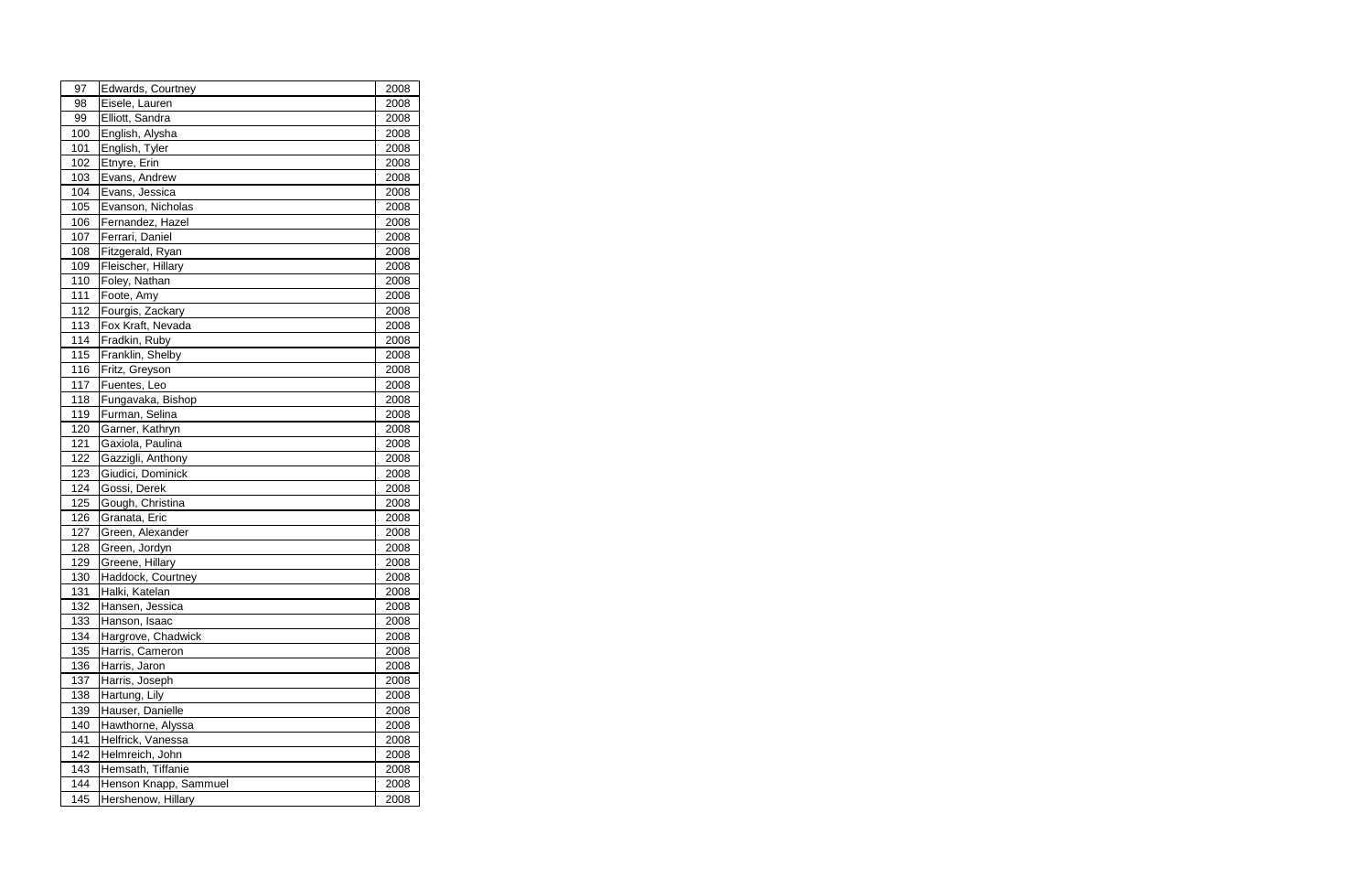| 97  | Edwards, Courtney     | 2008 |
|-----|-----------------------|------|
| 98  | Eisele, Lauren        | 2008 |
| 99  | Elliott, Sandra       | 2008 |
| 100 | English, Alysha       | 2008 |
| 101 | English, Tyler        | 2008 |
| 102 | Etnyre, Erin          | 2008 |
| 103 | Evans, Andrew         | 2008 |
| 104 | Evans, Jessica        | 2008 |
| 105 | Evanson, Nicholas     | 2008 |
| 106 | Fernandez, Hazel      | 2008 |
| 107 | Ferrari, Daniel       | 2008 |
| 108 | Fitzgerald, Ryan      | 2008 |
| 109 | Fleischer, Hillary    | 2008 |
| 110 | Foley, Nathan         | 2008 |
| 111 | Foote, Amy            | 2008 |
| 112 | Fourgis, Zackary      | 2008 |
| 113 | Fox Kraft, Nevada     | 2008 |
| 114 | Fradkin, Ruby         | 2008 |
| 115 | Franklin, Shelby      | 2008 |
| 116 | Fritz, Greyson        | 2008 |
| 117 | Fuentes, Leo          | 2008 |
| 118 | Fungavaka, Bishop     | 2008 |
| 119 | Furman, Selina        | 2008 |
| 120 | Garner, Kathryn       | 2008 |
| 121 | Gaxiola, Paulina      | 2008 |
| 122 | Gazzigli, Anthony     | 2008 |
| 123 | Giudici, Dominick     | 2008 |
| 124 | Gossi, Derek          | 2008 |
| 125 | Gough, Christina      | 2008 |
| 126 | Granata, Eric         | 2008 |
| 127 | Green, Alexander      | 2008 |
| 128 | Green, Jordyn         | 2008 |
| 129 | Greene, Hillary       | 2008 |
| 130 | Haddock, Courtney     | 2008 |
| 131 | Halki, Katelan        | 2008 |
| 132 | Hansen, Jessica       | 2008 |
| 133 | Hanson, Isaac         | 2008 |
| 134 | Hargrove, Chadwick    | 2008 |
| 135 | Harris, Cameron       | 2008 |
| 136 | Harris, Jaron         | 2008 |
| 137 | Harris, Joseph        | 2008 |
| 138 | Hartung, Lily         | 2008 |
| 139 | Hauser, Danielle      | 2008 |
| 140 | Hawthorne, Alyssa     | 2008 |
| 141 | Helfrick, Vanessa     | 2008 |
| 142 | Helmreich, John       | 2008 |
| 143 | Hemsath, Tiffanie     | 2008 |
| 144 | Henson Knapp, Sammuel | 2008 |
| 145 | Hershenow, Hillary    | 2008 |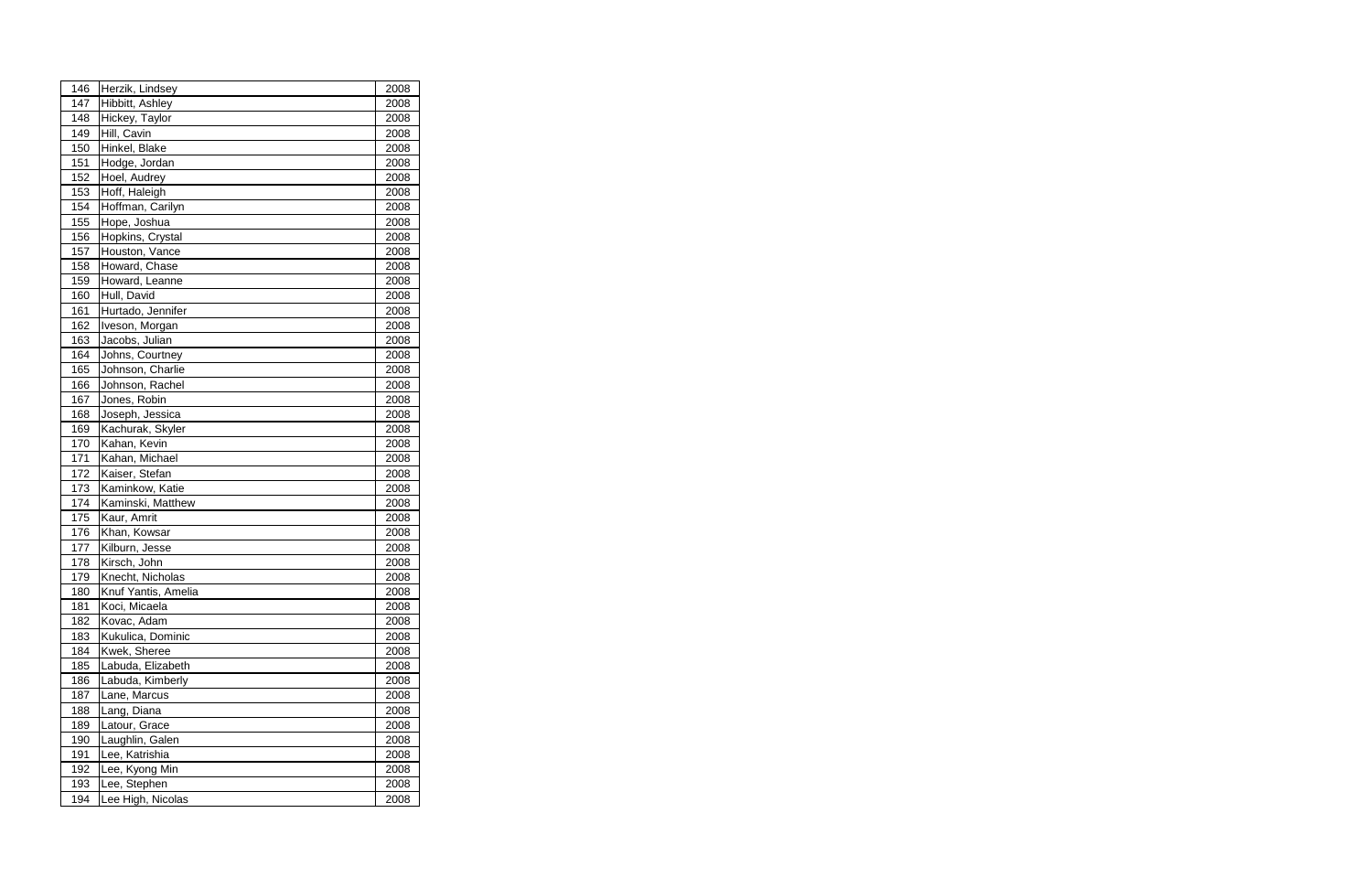| 146 | Herzik, Lindsey     | 2008 |  |
|-----|---------------------|------|--|
| 147 | Hibbitt, Ashley     | 2008 |  |
| 148 | Hickey, Taylor      | 2008 |  |
| 149 | Hill, Cavin         | 2008 |  |
| 150 | Hinkel, Blake       | 2008 |  |
| 151 | Hodge, Jordan       | 2008 |  |
| 152 | Hoel, Audrey        | 2008 |  |
| 153 | Hoff, Haleigh       | 2008 |  |
| 154 | Hoffman, Carilyn    | 2008 |  |
| 155 | Hope, Joshua        | 2008 |  |
| 156 | Hopkins, Crystal    | 2008 |  |
| 157 | Houston, Vance      | 2008 |  |
| 158 | Howard, Chase       | 2008 |  |
| 159 | Howard, Leanne      | 2008 |  |
| 160 | Hull, David         | 2008 |  |
| 161 | Hurtado, Jennifer   | 2008 |  |
| 162 | Iveson, Morgan      | 2008 |  |
| 163 | Jacobs, Julian      | 2008 |  |
| 164 | Johns, Courtney     | 2008 |  |
| 165 | Johnson, Charlie    | 2008 |  |
| 166 | Johnson, Rachel     | 2008 |  |
| 167 | Jones, Robin        | 2008 |  |
| 168 | Joseph, Jessica     | 2008 |  |
| 169 | Kachurak, Skyler    | 2008 |  |
| 170 | Kahan, Kevin        | 2008 |  |
| 171 | Kahan, Michael      | 2008 |  |
| 172 | Kaiser, Stefan      | 2008 |  |
| 173 | Kaminkow, Katie     | 2008 |  |
| 174 | Kaminski, Matthew   | 2008 |  |
| 175 | Kaur, Amrit         | 2008 |  |
| 176 | Khan, Kowsar        | 2008 |  |
| 177 | Kilburn, Jesse      | 2008 |  |
| 178 | Kirsch, John        | 2008 |  |
| 179 | Knecht, Nicholas    | 2008 |  |
| 180 | Knuf Yantis, Amelia | 2008 |  |
| 181 | Koci, Micaela       | 2008 |  |
| 182 | Kovac, Adam         | 2008 |  |
| 183 | Kukulica, Dominic   | 2008 |  |
| 184 | Kwek, Sheree        | 2008 |  |
| 185 | Labuda, Elizabeth   | 2008 |  |
| 186 | Labuda, Kimberly    | 2008 |  |
| 187 | Lane, Marcus        | 2008 |  |
| 188 | Lang, Diana         | 2008 |  |
| 189 | Latour, Grace       | 2008 |  |
| 190 | Laughlin, Galen     | 2008 |  |
| 191 | Lee, Katrishia      | 2008 |  |
| 192 | Lee, Kyong Min      | 2008 |  |
| 193 | Lee, Stephen        | 2008 |  |
| 194 | Lee High, Nicolas   | 2008 |  |
|     |                     |      |  |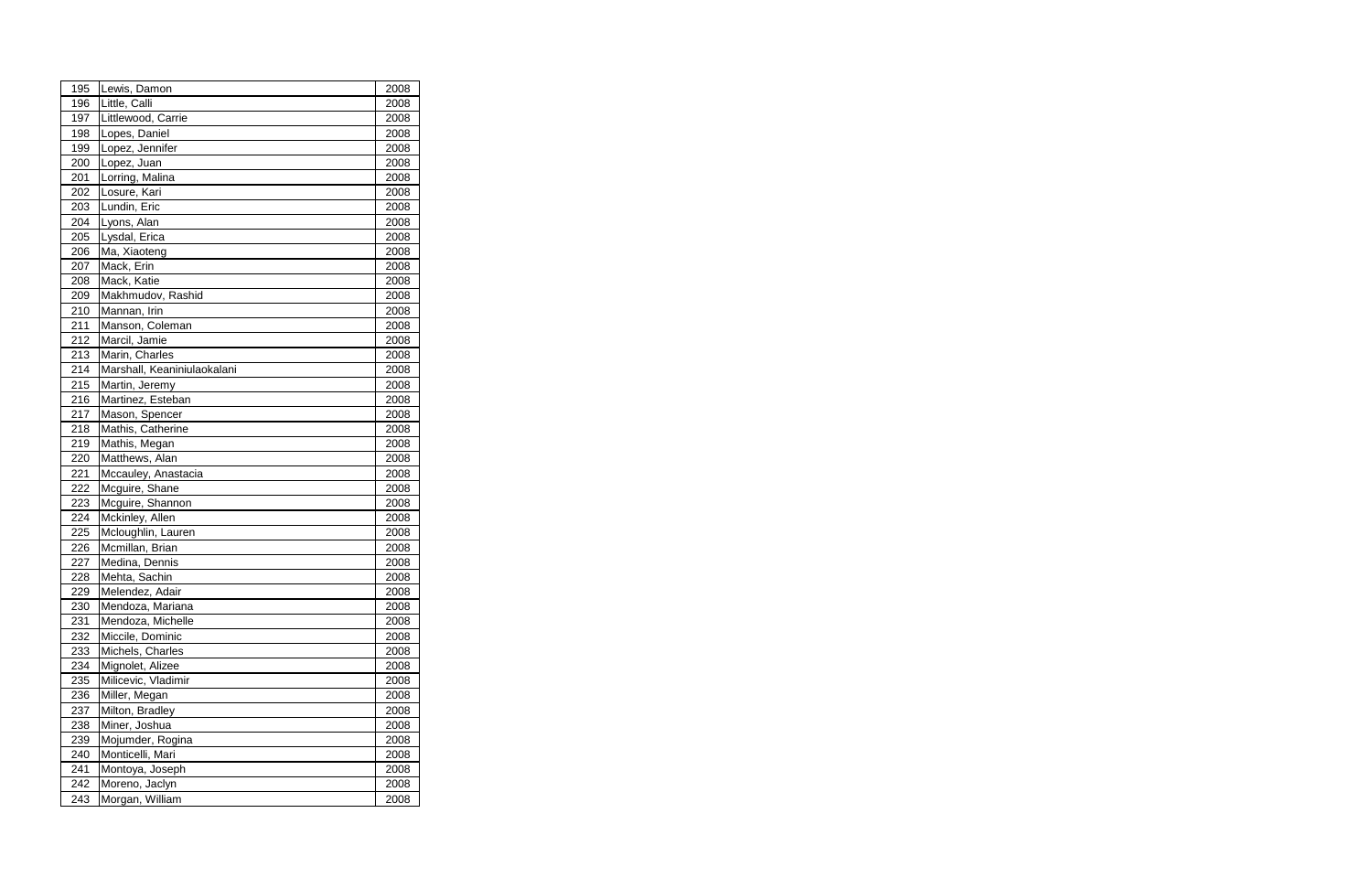| 195        | Lewis, Damon                          | 2008         |  |
|------------|---------------------------------------|--------------|--|
| 196        | Little, Calli                         | 2008         |  |
| 197        | Littlewood, Carrie                    | 2008         |  |
| 198        | Lopes, Daniel                         | 2008         |  |
| 199        | Lopez, Jennifer                       | 2008         |  |
| 200        | Lopez, Juan                           | 2008         |  |
| 201        | Lorring, Malina                       | 2008         |  |
| 202        | Losure, Kari                          | 2008         |  |
| 203        | Lundin, Eric                          | 2008         |  |
| 204        | Lyons, Alan                           | 2008         |  |
| 205        | Lysdal, Erica                         | 2008         |  |
| 206        | Ma, Xiaoteng                          | 2008         |  |
| 207        | Mack, Erin                            | 2008         |  |
| 208        | Mack, Katie                           | 2008         |  |
| 209        | Makhmudov, Rashid                     | 2008         |  |
| 210        | Mannan, Irin                          | 2008         |  |
| 211        | Manson, Coleman                       | 2008         |  |
| 212        | Marcil, Jamie                         | 2008         |  |
| 213        | Marin, Charles                        | 2008         |  |
| 214        | Marshall, Keaniniulaokalani           | 2008         |  |
| 215        | Martin, Jeremy                        | 2008         |  |
| 216        | Martinez, Esteban                     | 2008         |  |
| 217        | Mason, Spencer                        | 2008         |  |
| 218        | Mathis, Catherine                     | 2008         |  |
| 219        | Mathis, Megan                         | 2008         |  |
| 220        | Matthews, Alan                        | 2008         |  |
| 221        | Mccauley, Anastacia                   | 2008         |  |
| 222        | Mcguire, Shane                        | 2008         |  |
| 223        | Mcguire, Shannon                      | 2008         |  |
| 224        | Mckinley, Allen                       | 2008         |  |
| 225        | Mcloughlin, Lauren                    | 2008         |  |
| 226        | Mcmillan, Brian                       | 2008         |  |
| 227        | Medina, Dennis                        | 2008         |  |
| 228        | Mehta, Sachin                         | 2008         |  |
| 229        | Melendez, Adair                       | 2008         |  |
| 230        | Mendoza, Mariana                      | 2008         |  |
| 231<br>232 | Mendoza, Michelle<br>Miccile, Dominic | 2008         |  |
|            |                                       | 2008         |  |
| 233<br>234 | Michels, Charles<br>Mignolet, Alizee  | 2008<br>2008 |  |
| 235        | Milicevic, Vladimir                   | 2008         |  |
| 236        | Miller, Megan                         | 2008         |  |
| 237        | Milton, Bradley                       | 2008         |  |
| 238        | Miner, Joshua                         | 2008         |  |
| 239        | Mojumder, Rogina                      | 2008         |  |
| 240        | Monticelli, Mari                      | 2008         |  |
| 241        | Montoya, Joseph                       | 2008         |  |
| 242        | Moreno, Jaclyn                        | 2008         |  |
| 243        | Morgan, William                       | 2008         |  |
|            |                                       |              |  |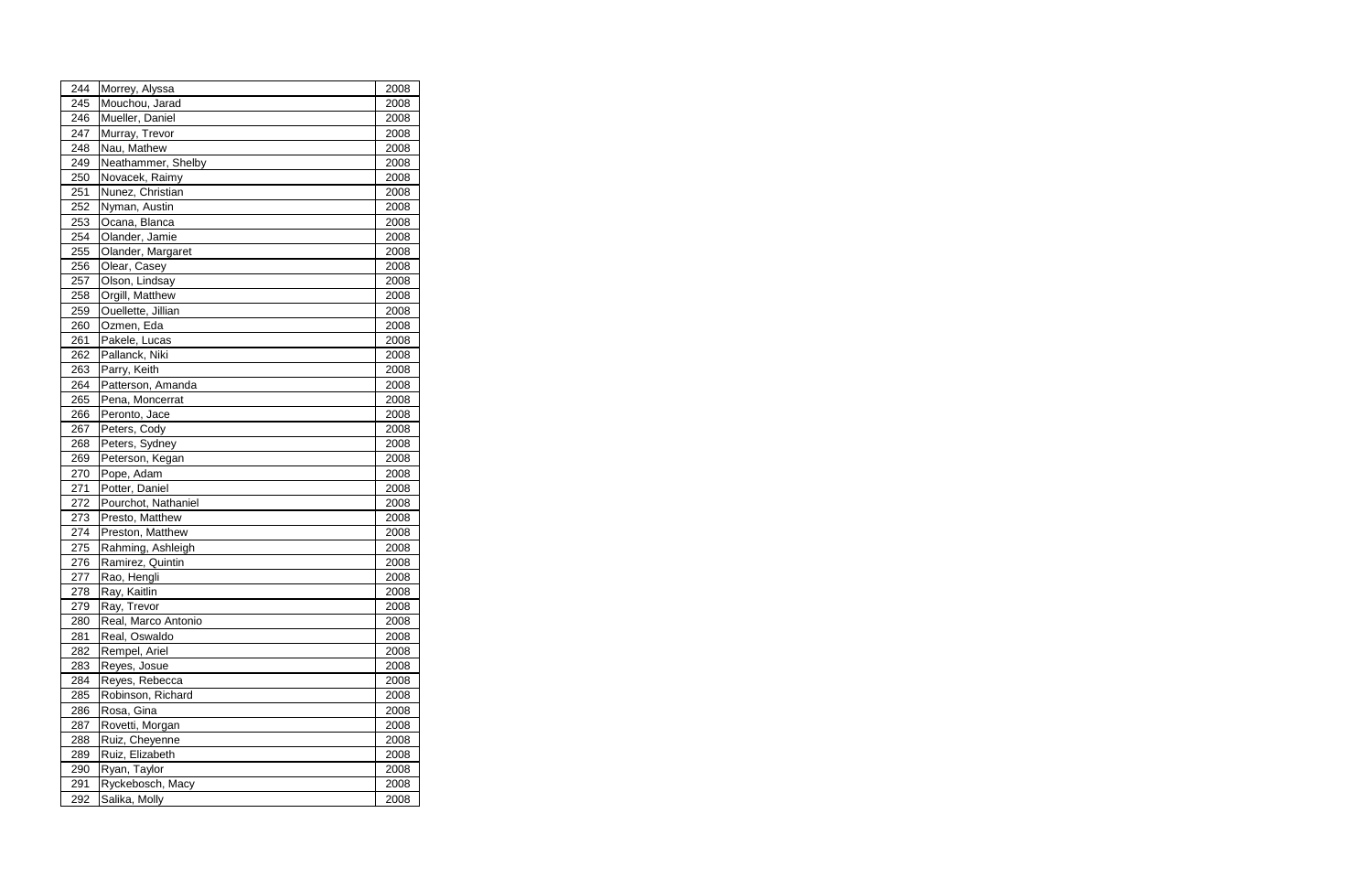| 244 | Morrey, Alyssa      | 2008 |
|-----|---------------------|------|
| 245 | Mouchou, Jarad      | 2008 |
| 246 | Mueller, Daniel     | 2008 |
| 247 | Murray, Trevor      | 2008 |
| 248 | Nau, Mathew         | 2008 |
| 249 | Neathammer, Shelby  | 2008 |
| 250 | Novacek, Raimy      | 2008 |
| 251 | Nunez, Christian    | 2008 |
| 252 | Nyman, Austin       | 2008 |
| 253 | Ocana, Blanca       | 2008 |
| 254 | Olander, Jamie      | 2008 |
| 255 | Olander, Margaret   | 2008 |
| 256 | Olear, Casey        | 2008 |
| 257 | Olson, Lindsay      | 2008 |
| 258 | Orgill, Matthew     | 2008 |
| 259 | Ouellette, Jillian  | 2008 |
| 260 | Ozmen, Eda          | 2008 |
| 261 | Pakele, Lucas       | 2008 |
| 262 | Pallanck, Niki      | 2008 |
| 263 | Parry, Keith        | 2008 |
| 264 | Patterson, Amanda   | 2008 |
| 265 | Pena, Moncerrat     | 2008 |
| 266 | Peronto, Jace       | 2008 |
| 267 | Peters, Cody        | 2008 |
| 268 | Peters, Sydney      | 2008 |
| 269 | Peterson, Kegan     | 2008 |
| 270 | Pope, Adam          | 2008 |
| 271 | Potter, Daniel      | 2008 |
| 272 | Pourchot, Nathaniel | 2008 |
| 273 | Presto, Matthew     | 2008 |
| 274 | Preston, Matthew    | 2008 |
| 275 | Rahming, Ashleigh   | 2008 |
| 276 | Ramirez, Quintin    | 2008 |
| 277 | Rao, Hengli         | 2008 |
| 278 | Ray, Kaitlin        | 2008 |
| 279 | Ray, Trevor         | 2008 |
| 280 | Real, Marco Antonio | 2008 |
| 281 | Real, Oswaldo       | 2008 |
| 282 | Rempel, Ariel       | 2008 |
| 283 | Reyes, Josue        | 2008 |
| 284 | Reyes, Rebecca      | 2008 |
| 285 | Robinson, Richard   | 2008 |
| 286 | Rosa, Gina          | 2008 |
| 287 | Rovetti, Morgan     | 2008 |
| 288 | Ruiz, Cheyenne      | 2008 |
| 289 | Ruiz, Elizabeth     | 2008 |
| 290 | Ryan, Taylor        | 2008 |
| 291 | Ryckebosch, Macy    | 2008 |
| 292 | Salika, Molly       | 2008 |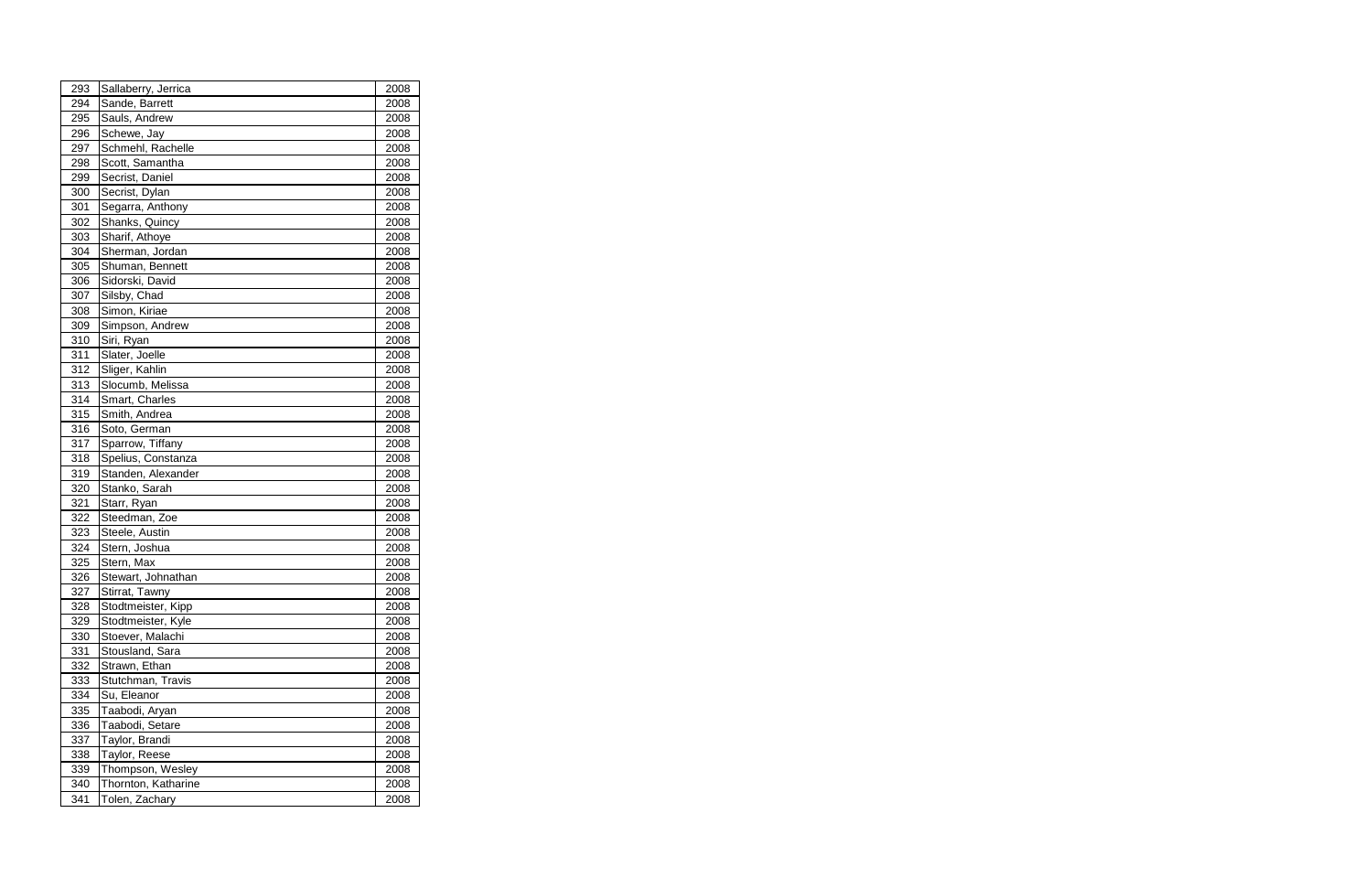| 294<br>Sande, Barrett<br>2008<br>295<br>Sauls, Andrew<br>2008<br>296<br>2008<br>Schewe, Jay<br>297<br>Schmehl, Rachelle<br>2008<br>Scott, Samantha<br>298<br>2008<br>299<br>Secrist, Daniel<br>2008<br>300<br>Secrist, Dylan<br>2008<br>301<br>Segarra, Anthony<br>2008<br>302<br>Shanks, Quincy<br>2008<br>303<br>Sharif, Athoye<br>2008<br>304<br>Sherman, Jordan<br>2008 |  |
|-----------------------------------------------------------------------------------------------------------------------------------------------------------------------------------------------------------------------------------------------------------------------------------------------------------------------------------------------------------------------------|--|
|                                                                                                                                                                                                                                                                                                                                                                             |  |
|                                                                                                                                                                                                                                                                                                                                                                             |  |
|                                                                                                                                                                                                                                                                                                                                                                             |  |
|                                                                                                                                                                                                                                                                                                                                                                             |  |
|                                                                                                                                                                                                                                                                                                                                                                             |  |
|                                                                                                                                                                                                                                                                                                                                                                             |  |
|                                                                                                                                                                                                                                                                                                                                                                             |  |
|                                                                                                                                                                                                                                                                                                                                                                             |  |
|                                                                                                                                                                                                                                                                                                                                                                             |  |
|                                                                                                                                                                                                                                                                                                                                                                             |  |
|                                                                                                                                                                                                                                                                                                                                                                             |  |
| 305<br>Shuman, Bennett<br>2008                                                                                                                                                                                                                                                                                                                                              |  |
| 306<br>Sidorski, David<br>2008                                                                                                                                                                                                                                                                                                                                              |  |
| Silsby, Chad<br>307<br>2008                                                                                                                                                                                                                                                                                                                                                 |  |
| Simon, Kiriae<br>308<br>2008                                                                                                                                                                                                                                                                                                                                                |  |
| 309<br>Simpson, Andrew<br>2008                                                                                                                                                                                                                                                                                                                                              |  |
| 310<br>Siri, Ryan<br>2008                                                                                                                                                                                                                                                                                                                                                   |  |
| Slater, Joelle<br>311<br>2008                                                                                                                                                                                                                                                                                                                                               |  |
| 312<br>Sliger, Kahlin<br>2008                                                                                                                                                                                                                                                                                                                                               |  |
| 313<br>Slocumb, Melissa<br>2008                                                                                                                                                                                                                                                                                                                                             |  |
| 314<br>Smart, Charles<br>2008                                                                                                                                                                                                                                                                                                                                               |  |
| 315<br>Smith, Andrea<br>2008                                                                                                                                                                                                                                                                                                                                                |  |
| 316<br>Soto, German<br>2008                                                                                                                                                                                                                                                                                                                                                 |  |
| 317<br>Sparrow, Tiffany<br>2008                                                                                                                                                                                                                                                                                                                                             |  |
| 318<br>Spelius, Constanza<br>2008                                                                                                                                                                                                                                                                                                                                           |  |
| 319<br>Standen, Alexander<br>2008                                                                                                                                                                                                                                                                                                                                           |  |
| 320<br>Stanko, Sarah<br>2008                                                                                                                                                                                                                                                                                                                                                |  |
| 321<br>Starr, Ryan<br>2008                                                                                                                                                                                                                                                                                                                                                  |  |
| Steedman, Zoe<br>322<br>2008                                                                                                                                                                                                                                                                                                                                                |  |
| 323<br>Steele, Austin<br>2008                                                                                                                                                                                                                                                                                                                                               |  |
| 324<br>Stern, Joshua<br>2008                                                                                                                                                                                                                                                                                                                                                |  |
| 325<br>Stern, Max<br>2008                                                                                                                                                                                                                                                                                                                                                   |  |
| 326<br>Stewart, Johnathan<br>2008                                                                                                                                                                                                                                                                                                                                           |  |
| Stirrat, Tawny<br>327<br>2008                                                                                                                                                                                                                                                                                                                                               |  |
| Stodtmeister, Kipp<br>328<br>2008                                                                                                                                                                                                                                                                                                                                           |  |
| 329<br>Stodtmeister, Kyle<br>2008                                                                                                                                                                                                                                                                                                                                           |  |
| Stoever, Malachi<br>330<br>2008                                                                                                                                                                                                                                                                                                                                             |  |
| 331<br>Stousland, Sara<br>2008                                                                                                                                                                                                                                                                                                                                              |  |
| 332<br>Strawn, Ethan<br>2008                                                                                                                                                                                                                                                                                                                                                |  |
| 333<br>Stutchman, Travis<br>2008                                                                                                                                                                                                                                                                                                                                            |  |
| 334<br>2008<br>Su, Eleanor                                                                                                                                                                                                                                                                                                                                                  |  |
| 335<br>Taabodi, Aryan<br>2008                                                                                                                                                                                                                                                                                                                                               |  |
| 336<br>Taabodi, Setare<br>2008                                                                                                                                                                                                                                                                                                                                              |  |
| 337<br>Taylor, Brandi<br>2008                                                                                                                                                                                                                                                                                                                                               |  |
| Taylor, Reese<br>338<br>2008                                                                                                                                                                                                                                                                                                                                                |  |
| 339<br>Thompson, Wesley<br>2008                                                                                                                                                                                                                                                                                                                                             |  |
| Thornton, Katharine<br>340<br>2008                                                                                                                                                                                                                                                                                                                                          |  |
| 341<br>Tolen, Zachary<br>2008                                                                                                                                                                                                                                                                                                                                               |  |